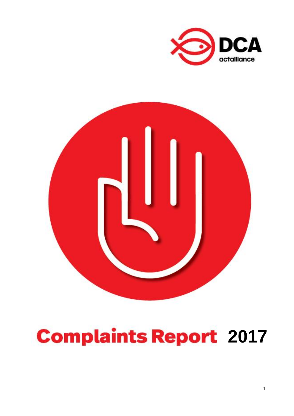



# **Complaints Report** 2017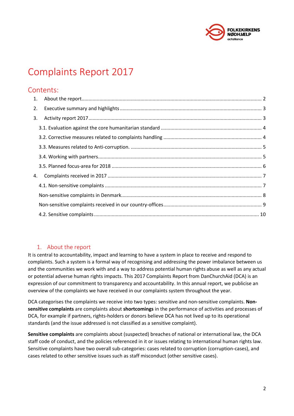

## Complaints Report 2017

### Contents:

| 1. |  |  |  |  |
|----|--|--|--|--|
| 2. |  |  |  |  |
| 3. |  |  |  |  |
|    |  |  |  |  |
|    |  |  |  |  |
|    |  |  |  |  |
|    |  |  |  |  |
|    |  |  |  |  |
| 4. |  |  |  |  |
|    |  |  |  |  |
|    |  |  |  |  |
|    |  |  |  |  |
|    |  |  |  |  |

#### <span id="page-1-0"></span>1. About the report

It is central to accountability, impact and learning to have a system in place to receive and respond to complaints. Such a system is a formal way of recognising and addressing the power imbalance between us and the communities we work with and a way to address potential human rights abuse as well as any actual or potential adverse human rights impacts. This 2017 Complaints Report from DanChurchAid (DCA) is an expression of our commitment to transparency and accountability. In this annual report, we publicise an overview of the complaints we have received in our complaints system throughout the year.

DCA categorises the complaints we receive into two types: sensitive and non-sensitive complaints. **Nonsensitive complaints** are complaints about **shortcomings** in the performance of activities and processes of DCA, for example if partners, rights-holders or donors believe DCA has not lived up to its operational standards (and the issue addressed is not classified as a sensitive complaint).

**Sensitive complaints** are complaints about (suspected) breaches of national or international law, the DCA staff code of conduct, and the policies referenced in it or issues relating to international human rights law. Sensitive complaints have two overall sub-categories: cases related to corruption (corruption-cases), and cases related to other sensitive issues such as staff misconduct (other sensitive cases).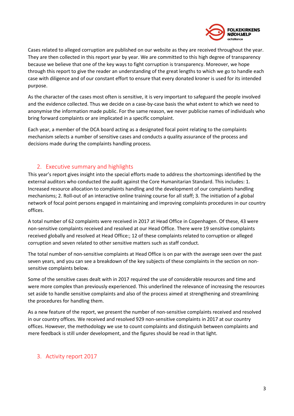

Cases related to alleged corruption are published on our website as they are received throughout the year. They are then collected in this report year by year. We are committed to this high degree of transparency because we believe that one of the key ways to fight corruption is transparency. Moreover, we hope through this report to give the reader an understanding of the great lengths to which we go to handle each case with diligence and of our constant effort to ensure that every donated kroner is used for its intended purpose.

As the character of the cases most often is sensitive, it is very important to safeguard the people involved and the evidence collected. Thus we decide on a case-by-case basis the what extent to which we need to anonymise the information made public. For the same reason, we never publicise names of individuals who bring forward complaints or are implicated in a specific complaint.

Each year, a member of the DCA board acting as a designated focal point relating to the complaints mechanism selects a number of sensitive cases and conducts a quality assurance of the process and decisions made during the complaints handling process.

#### 2. Executive summary and highlights

<span id="page-2-0"></span>This year's report gives insight into the special efforts made to address the shortcomings identified by the external auditors who conducted the audit against the Core Humanitarian Standard. This includes: 1. Increased resource allocation to complaints handling and the development of our complaints handling mechanisms; 2. Roll-out of an interactive online training course for all staff; 3. The initiation of a global network of focal point persons engaged in maintaining and improving complaints procedures in our country offices.

A total number of 62 complaints were received in 2017 at Head Office in Copenhagen. Of these, 43 were non-sensitive complaints received and resolved at our Head Office. There were 19 sensitive complaints received globally and resolved at Head Office:; 12 of these complaints related to corruption or alleged corruption and seven related to other sensitive matters such as staff conduct.

The total number of non-sensitive complaints at Head Office is on par with the average seen over the past seven years, and you can see a breakdown of the key subjects of these complaints in the section on nonsensitive complaints below.

Some of the sensitive cases dealt with in 2017 required the use of considerable resources and time and were more complex than previously experienced. This underlined the relevance of increasing the resources set aside to handle sensitive complaints and also of the process aimed at strengthening and streamlining the procedures for handling them.

As a new feature of the report, we present the number of non-sensitive complaints received and resolved in our country offices. We received and resolved 929 non-sensitive complaints in 2017 at our country offices. However, the methodology we use to count complaints and distinguish between complaints and mere feedback is still under development, and the figures should be read in that light.

#### <span id="page-2-1"></span>3. Activity report 2017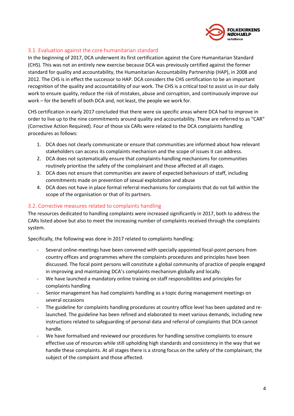

#### <span id="page-3-0"></span>3.1. Evaluation against the core humanitarian standard

In the beginning of 2017, DCA underwent its first certification against the Core Humanitarian Standard (CHS). This was not an entirely new exercise because DCA was previously certified against the former standard for quality and accountability, the Humanitarian Accountability Partnership (HAP), in 2008 and 2012. The CHS is in effect the successor to HAP. DCA considers the CHS certification to be an important recognition of the quality and accountability of our work. The CHS is a critical tool to assist us in our daily work to ensure quality, reduce the risk of mistakes, abuse and corruption, and continuously improve our work – for the benefit of both DCA and, not least, the people we work for.

CHS certification in early 2017 concluded that there were six specific areas where DCA had to improve in order to live up to the nine commitments around quality and accountability. These are referred to as "CAR" (Corrective Action Required). Four of those six CARs were related to the DCA complaints handling procedures as follows:

- 1. DCA does not clearly communicate or ensure that communities are informed about how relevant stakeholders can access its complaints mechanism and the scope of issues it can address.
- 2. DCA does not systematically ensure that complaints-handling mechanisms for communities routinely prioritise the safety of the complainant and those affected at all stages.
- 3. DCA does not ensure that communities are aware of expected behaviours of staff, including commitments made on prevention of sexual exploitation and abuse
- 4. DCA does not have in place formal referral mechanisms for complaints that do not fall within the scope of the organisation or that of its partners.

#### <span id="page-3-1"></span>3.2. Corrective measures related to complaints handling

The resources dedicated to handling complaints were increased significantly in 2017, both to address the CARs listed above but also to meet the increasing number of complaints received through the complaints system.

Specifically, the following was done in 2017 related to complaints handling:

- Several online-meetings have been convened with specially appointed focal-point persons from country offices and programmes where the complaints procedures and principles have been discussed. The focal point persons will constitute a global community of practice of people engaged in improving and maintaining DCA's complaints mechanism globally and locally.
- We have launched a mandatory online training on staff responsibilities and principles for complaints handling
- Senior management has had complaints handling as a topic during management meetings on several occasions
- The guideline for complaints handling procedures at country office level has been updated and relaunched. The guideline has been refined and elaborated to meet various demands, including new instructions related to safeguarding of personal data and referral of complaints that DCA cannot handle.
- We have formalised and reviewed our procedures for handling sensitive complaints to ensure effective use of resources while still upholding high standards and consistency in the way that we handle these complaints. At all stages there is a strong focus on the safety of the complainant, the subject of the complaint and those affected.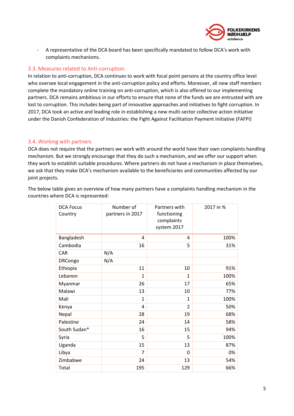

- A representative of the DCA board has been specifically mandated to follow DCA's work with complaints mechanisms.

#### <span id="page-4-0"></span>3.3. Measures related to Anti-corruption.

In relation to anti-corruption, DCA continues to work with focal point persons at the country office level who oversee local engagement in the anti-corruption policy and efforts. Moreover, all new staff members complete the mandatory online training on anti-corruption, which is also offered to our implementing partners. DCA remains ambitious in our efforts to ensure that none of the funds we are entrusted with are lost to corruption. This includes being part of innovative approaches and initiatives to fight corruption. In 2017, DCA took an active and leading role in establishing a new multi-sector collective action initiative under the Danish Confederation of Industries: the Fight Against Facilitation Payment Initiative (FAFPI)

#### <span id="page-4-1"></span>3.4. Working with partners

DCA does not require that the partners we work with around the world have their own complaints handling mechanism. But we strongly encourage that they do such a mechanism, and we offer our support when they work to establish suitable procedures. Where partners do not have a mechanism in place themselves, we ask that they make DCA's mechanism available to the beneficiaries and communities affected by our joint projects.

The below table gives an overview of how many partners have a complaints handling mechanism in the countries where DCA is represented:

| <b>DCA Focus</b><br>Country | Number of<br>partners in 2017 | Partners with<br>functioning<br>complaints<br>system 2017 | 2017 in % |
|-----------------------------|-------------------------------|-----------------------------------------------------------|-----------|
| Bangladesh                  | 4                             | 4                                                         | 100%      |
| Cambodia                    | 16                            | 5                                                         | 31%       |
| CAR                         | N/A                           |                                                           |           |
| DRCongo                     | N/A                           |                                                           |           |
| Ethiopia                    | 11                            | 10                                                        | 91%       |
| Lebanon                     | $\mathbf{1}$                  | $\mathbf{1}$                                              | 100%      |
| Myanmar                     | 26                            | 17                                                        | 65%       |
| Malawi                      | 13                            | 10                                                        | 77%       |
| Mali                        | $\mathbf{1}$                  | $\mathbf{1}$                                              | 100%      |
| Kenya                       | 4                             | $\overline{2}$                                            | 50%       |
| Nepal                       | 28                            | 19                                                        | 68%       |
| Palestine                   | 24                            | 14                                                        | 58%       |
| South Sudan*                | 16                            | 15                                                        | 94%       |
| Syria                       | 5                             | 5                                                         | 100%      |
| Uganda                      | 15                            | 13                                                        | 87%       |
| Libya                       | 7                             | 0                                                         | 0%        |
| Zimbabwe                    | 24                            | 13                                                        | 54%       |
| Total                       | 195                           | 129                                                       | 66%       |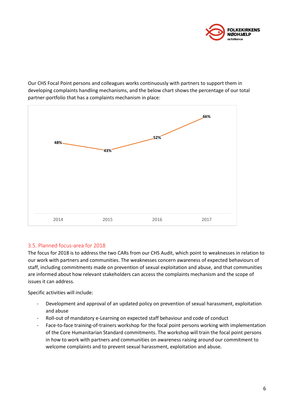

Our CHS Focal Point persons and colleagues works continuously with partners to support them in developing complaints handling mechanisms, and the below chart shows the percentage of our total partner-portfolio that has a complaints mechanism in place:



#### <span id="page-5-0"></span>3.5. Planned focus-area for 2018

The focus for 2018 is to address the two CARs from our CHS Audit, which point to weaknesses in relation to our work with partners and communities. The weaknesses concern awareness of expected behaviours of staff, including commitments made on prevention of sexual exploitation and abuse, and that communities are informed about how relevant stakeholders can access the complaints mechanism and the scope of issues it can address.

Specific activities will include:

- Development and approval of an updated policy on prevention of sexual harassment, exploitation and abuse
- Roll-out of mandatory e-Learning on expected staff behaviour and code of conduct
- Face-to-face training-of-trainers workshop for the focal point persons working with implementation of the Core Humanitarian Standard commitments. The workshop will train the focal point persons in how to work with partners and communities on awareness raising around our commitment to welcome complaints and to prevent sexual harassment, exploitation and abuse.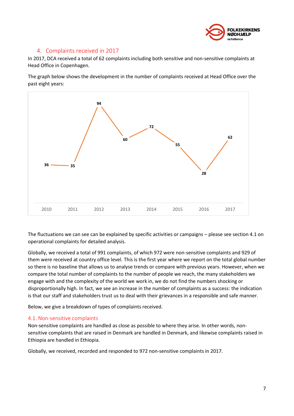

#### 4. Complaints received in 2017

<span id="page-6-0"></span>In 2017, DCA received a total of 62 complaints including both sensitive and non-sensitive complaints at Head Office in Copenhagen.

The graph below shows the development in the number of complaints received at Head Office over the past eight years:



The fluctuations we can see can be explained by specific activities or campaigns – please see section 4.1 on operational complaints for detailed analysis.

Globally, we received a total of 991 complaints, of which 972 were non-sensitive complaints and 929 of them were received at country office level. This is the first year where we report on the total global number so there is no baseline that allows us to analyse trends or compare with previous years. However, when we compare the total number of complaints to the number of people we reach, the many stakeholders we engage with and the complexity of the world we work in, we do not find the numbers shocking or disproportionally high. In fact, we see an increase in the number of complaints as a success: the indication is that our staff and stakeholders trust us to deal with their grievances in a responsible and safe manner.

Below, we give a breakdown of types of complaints received.

#### <span id="page-6-1"></span>4.1. Non-sensitive complaints

Non-sensitive complaints are handled as close as possible to where they arise. In other words, nonsensitive complaints that are raised in Denmark are handled in Denmark, and likewise complaints raised in Ethiopia are handled in Ethiopia.

Globally, we received, recorded and responded to 972 non-sensitive complaints in 2017.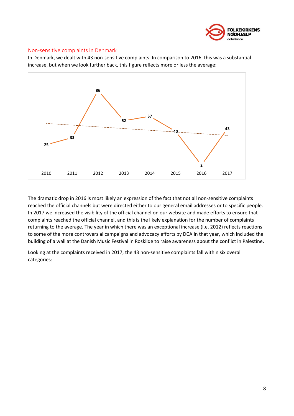

#### <span id="page-7-0"></span>Non-sensitive complaints in Denmark

In Denmark, we dealt with 43 non-sensitive complaints. In comparison to 2016, this was a substantial increase, but when we look further back, this figure reflects more or less the average:



The dramatic drop in 2016 is most likely an expression of the fact that not all non-sensitive complaints reached the official channels but were directed either to our general email addresses or to specific people. In 2017 we increased the visibility of the official channel on our website and made efforts to ensure that complaints reached the official channel, and this is the likely explanation for the number of complaints returning to the average. The year in which there was an exceptional increase (i.e. 2012) reflects reactions to some of the more controversial campaigns and advocacy efforts by DCA in that year, which included the building of a wall at the Danish Music Festival in Roskilde to raise awareness about the conflict in Palestine.

Looking at the complaints received in 2017, the 43 non-sensitive complaints fall within six overall categories: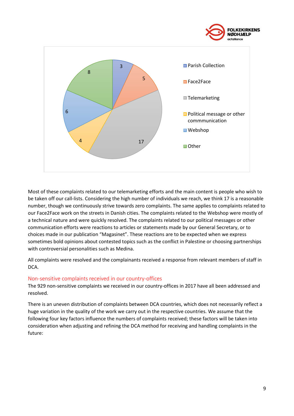

Most of these complaints related to our telemarketing efforts and the main content is people who wish to be taken off our call-lists. Considering the high number of individuals we reach, we think 17 is a reasonable number, though we continuously strive towards zero complaints. The same applies to complaints related to our Face2Face work on the streets in Danish cities. The complaints related to the Webshop were mostly of a technical nature and were quickly resolved. The complaints related to our political messages or other communication efforts were reactions to articles or statements made by our General Secretary, or to choices made in our publication "Magasinet". These reactions are to be expected when we express sometimes bold opinions about contested topics such as the conflict in Palestine or choosing partnerships with controversial personalities such as Medina.

All complaints were resolved and the complainants received a response from relevant members of staff in DCA.

#### <span id="page-8-0"></span>Non-sensitive complaints received in our country-offices

The 929 non-sensitive complaints we received in our country-offices in 2017 have all been addressed and resolved.

There is an uneven distribution of complaints between DCA countries, which does not necessarily reflect a huge variation in the quality of the work we carry out in the respective countries. We assume that the following four key factors influence the numbers of complaints received; these factors will be taken into consideration when adjusting and refining the DCA method for receiving and handling complaints in the future: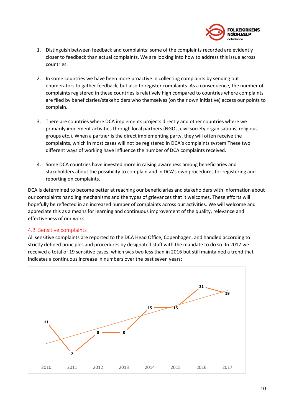

- 1. Distinguish between feedback and complaints: some of the complaints recorded are evidently closer to feedback than actual complaints. We are looking into how to address this issue across countries.
- 2. In some countries we have been more proactive in collecting complaints by sending out enumerators to gather feedback, but also to register complaints. As a consequence, the number of complaints registered in these countries is relatively high compared to countries where complaints are filed by beneficiaries/stakeholders who themselves (on their own initiative) access our points to complain.
- 3. There are countries where DCA implements projects directly and other countries where we primarily implement activities through local partners (NGOs, civil society organisations, religious groups etc.). When a partner is the direct implementing party, they will often receive the complaints, which in most cases will not be registered in DCA's complaints system These two different ways of working have influence the number of DCA complaints received.
- 4. Some DCA countries have invested more in raising awareness among beneficiaries and stakeholders about the possibility to complain and in DCA's own procedures for registering and reporting on complaints.

DCA is determined to become better at reaching our beneficiaries and stakeholders with information about our complaints handling mechanisms and the types of grievances that it welcomes. These efforts will hopefully be reflected in an increased number of complaints across our activities. We will welcome and appreciate this as a means for learning and continuous improvement of the quality, relevance and effectiveness of our work.

#### <span id="page-9-0"></span>4.2. Sensitive complaints

All sensitive complaints are reported to the DCA Head Office, Copenhagen, and handled according to strictly defined principles and procedures by designated staff with the mandate to do so. In 2017 we received a total of 19 sensitive cases, which was two less than in 2016 but still maintained a trend that indicates a continuous increase in numbers over the past seven years:

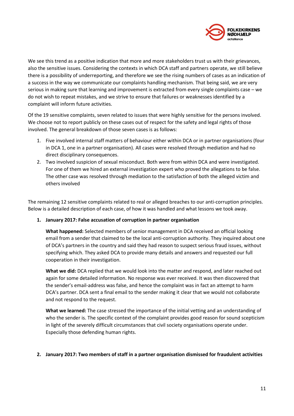

We see this trend as a positive indication that more and more stakeholders trust us with their grievances, also the sensitive issues. Considering the contexts in which DCA staff and partners operate, we still believe there is a possibility of underreporting, and therefore we see the rising numbers of cases as an indication of a success in the way we communicate our complaints handling mechanism. That being said, we are very serious in making sure that learning and improvement is extracted from every single complaints case – we do not wish to repeat mistakes, and we strive to ensure that failures or weaknesses identified by a complaint will inform future activities.

Of the 19 sensitive complaints, seven related to issues that were highly sensitive for the persons involved. We choose not to report publicly on these cases out of respect for the safety and legal rights of those involved. The general breakdown of those seven cases is as follows:

- 1. Five involved internal staff matters of behaviour either within DCA or in partner organisations (four in DCA 1, one in a partner organisation). All cases were resolved through mediation and had no direct disciplinary consequences.
- 2. Two involved suspicion of sexual misconduct. Both were from within DCA and were investigated. For one of them we hired an external investigation expert who proved the allegations to be false. The other case was resolved through mediation to the satisfaction of both the alleged victim and others involved

The remaining 12 sensitive complaints related to real or alleged breaches to our anti-corruption principles. Below is a detailed description of each case, of how it was handled and what lessons we took away.

#### **1. January 2017: False accusation of corruption in partner organisation**

**What happened:** Selected members of senior management in DCA received an official looking email from a sender that claimed to be the local anti-corruption authority. They inquired about one of DCA's partners in the country and said they had reason to suspect serious fraud issues, without specifying which. They asked DCA to provide many details and answers and requested our full cooperation in their investigation.

**What we did:** DCA replied that we would look into the matter and respond, and later reached out again for some detailed information. No response was ever received. It was then discovered that the sender's email-address was false, and hence the complaint was in fact an attempt to harm DCA's partner. DCA sent a final email to the sender making it clear that we would not collaborate and not respond to the request.

**What we learned:** The case stressed the importance of the initial vetting and an understanding of who the sender is. The specific context of the complaint provides good reason for sound scepticism in light of the severely difficult circumstances that civil society organisations operate under. Especially those defending human rights.

#### **2. January 2017: Two members of staff in a partner organisation dismissed for fraudulent activities**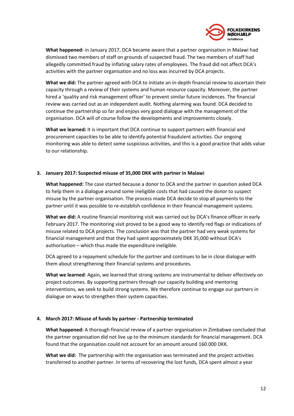

**What happened:** in January 2017, DCA became aware that a partner organisation in Malawi had dismissed two members of staff on grounds of suspected fraud. The two members of staff had allegedly committed fraud by inflating salary rates of employees. The fraud did not affect DCA's activities with the partner organisation and no loss was incurred by DCA projects.

**What we did:** The partner agreed with DCA to initiate an in-depth financial review to ascertain their capacity through a review of their systems and human resource capacity. Moreover, the partner hired a 'quality and risk management officer' to prevent similar future incidences. The financial review was carried out as an independent audit. Nothing alarming was found. DCA decided to continue the partnership so far and enjoys very good dialogue with the management of the organisation. DCA will of course follow the developments and improvements closely.

**What we learned:** It is important that DCA continue to support partners with financial and procurement capacities to be able to identify potential fraudulent activities. Our ongoing monitoring was able to detect some suspicious activities, and this is a good practice that adds value to our relationship.

#### **3. January 2017: Suspected misuse of 35,000 DKK with partner in Malawi**

**What happened:** The case started because a donor to DCA and the partner in question asked DCA to help them in a dialogue around some ineligible costs that had caused the donor to suspect misuse by the partner organisation. The process made DCA decide to stop all payments to the partner until it was possible to re-establish confidence in their financial management systems.

**What we did:** A routine financial monitoring visit was carried out by DCA's finance officer in early February 2017. The monitoring visit proved to be a good way to identify red flags or indications of misuse related to DCA projects. The conclusion was that the partner had very weak systems for financial management and that they had spent approximately DKK 35,000 without DCA's authorisation – which thus made the expenditure ineligible.

DCA agreed to a repayment schedule for the partner and continues to be in close dialogue with them about strengthening their financial systems and procedures.

**What we learned**: Again, we learned that strong systems are instrumental to deliver effectively on project outcomes. By supporting partners through our capacity building and mentoring interventions, we seek to build strong systems. We therefore continue to engage our partners in dialogue on ways to strengthen their system capacities.

#### **4. March 2017: Misuse of funds by partner - Partnership terminated**

**What happened:** A thorough financial review of a partner organisation in Zimbabwe concluded that the partner organisation did not live up to the minimum standards for financial management. DCA found that the organisation could not account for an amount around 160.000 DKK.

**What we did:** The partnership with the organisation was terminated and the project activities transferred to another partner. In terms of recovering the lost funds, DCA spent almost a year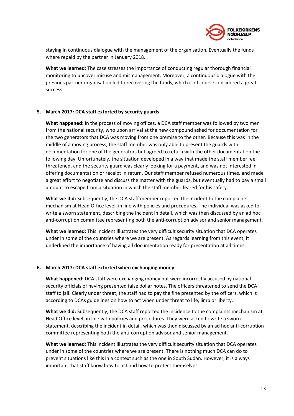

staying in continuous dialogue with the management of the organisation. Eventually the funds where repaid by the partner in January 2018.

**What we learned:** The case stresses the importance of conducting regular thorough financial monitoring to uncover misuse and mismanagement. Moreover, a continuous dialogue with the previous partner organisation led to recovering the funds, which is of course considered a great success.

#### **5. March 2017: DCA staff extorted by security guards**

**What happened:** In the process of moving offices, a DCA staff member was followed by two men from the national security, who upon arrival at the new compound asked for documentation for the two generators that DCA was moving from one premise to the other. Because this was in the middle of a moving process, the staff member was only able to present the guards with documentation for one of the generators but agreed to return with the other documentation the following day. Unfortunately, the situation developed in a way that made the staff member feel threatened, and the security guard was clearly looking for a payment, and was not interested in offering documentation or receipt in return. Our staff member refused numerous times, and made a great effort to negotiate and discuss the matter with the guards, but eventually had to pay a small amount to escape from a situation in which the staff member feared for his safety.

**What we did:** Subsequently, the DCA staff member reported the incident to the complaints mechanism at Head Office level, in line with policies and procedures. The individual was asked to write a sworn statement, describing the incident in detail, which was then discussed by an ad hoc anti-corruption committee representing both the anti-corruption advisor and senior management.

**What we learned:** This incident illustrates the very difficult security situation that DCA operates under in some of the countries where we are present. As regards learning from this event, it underlined the importance of having all documentation ready for presentation at all times.

#### **6. March 2017: DCA staff extorted when exchanging money**

**What happened:** DCA staff were exchanging money but were incorrectly accused by national security officials of having presented false dollar notes. The officers threatened to send the DCA staff to jail. Clearly under threat, the staff had to pay the fine presented by the officers, which is according to DCAs guidelines on how to act when under threat to life, limb or liberty.

**What we did:** Subsequently, the DCA staff reported the incidence to the complaints mechanism at Head Office level, in line with policies and procedures. They were asked to write a sworn statement, describing the incident in detail, which was then discussed by an ad hoc anti-corruption committee representing both the anti-corruption advisor and senior management.

**What we learned:** This incident illustrates the very difficult security situation that DCA operates under in some of the countries where we are present. There is nothing much DCA can do to prevent situations like this in a context such as the one in South Sudan. However, it is always important that staff know how to act and how to protect themselves.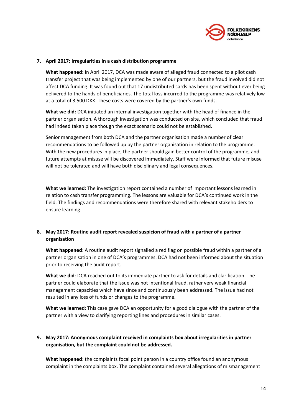

#### **7. April 2017: Irregularities in a cash distribution programme**

**What happened:** In April 2017, DCA was made aware of alleged fraud connected to a pilot cash transfer project that was being implemented by one of our partners, but the fraud involved did not affect DCA funding. It was found out that 17 undistributed cards has been spent without ever being delivered to the hands of beneficiaries. The total loss incurred to the programme was relatively low at a total of 3,500 DKK. These costs were covered by the partner's own funds.

**What we did:** DCA initiated an internal investigation together with the head of finance in the partner organisation. A thorough investigation was conducted on site, which concluded that fraud had indeed taken place though the exact scenario could not be established.

Senior management from both DCA and the partner organisation made a number of clear recommendations to be followed up by the partner organisation in relation to the programme. With the new procedures in place, the partner should gain better control of the programme, and future attempts at misuse will be discovered immediately. Staff were informed that future misuse will not be tolerated and will have both disciplinary and legal consequences.

**What we learned:** The investigation report contained a number of important lessons learned in relation to cash transfer programming. The lessons are valuable for DCA's continued work in the field. The findings and recommendations were therefore shared with relevant stakeholders to ensure learning.

#### **8. May 2017: Routine audit report revealed suspicion of fraud with a partner of a partner organisation**

**What happened**: A routine audit report signalled a red flag on possible fraud within a partner of a partner organisation in one of DCA's programmes. DCA had not been informed about the situation prior to receiving the audit report.

**What we did**: DCA reached out to its immediate partner to ask for details and clarification. The partner could elaborate that the issue was not intentional fraud, rather very weak financial management capacities which have since and continuously been addressed. The issue had not resulted in any loss of funds or changes to the programme.

**What we learned**: This case gave DCA an opportunity for a good dialogue with the partner of the partner with a view to clarifying reporting lines and procedures in similar cases.

#### **9. May 2017: Anonymous complaint received in complaints box about irregularities in partner organisation, but the complaint could not be addressed.**

**What happened**: the complaints focal point person in a country office found an anonymous complaint in the complaints box. The complaint contained several allegations of mismanagement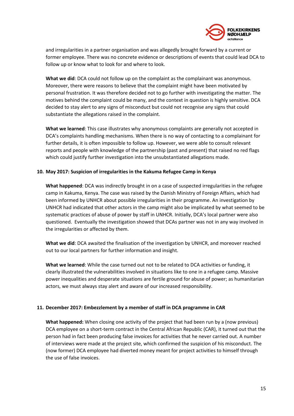

and irregularities in a partner organisation and was allegedly brought forward by a current or former employee. There was no concrete evidence or descriptions of events that could lead DCA to follow up or know what to look for and where to look.

**What we did**: DCA could not follow up on the complaint as the complainant was anonymous. Moreover, there were reasons to believe that the complaint might have been motivated by personal frustration. It was therefore decided not to go further with investigating the matter. The motives behind the complaint could be many, and the context in question is highly sensitive. DCA decided to stay alert to any signs of misconduct but could not recognise any signs that could substantiate the allegations raised in the complaint.

**What we learned**: This case illustrates why anonymous complaints are generally not accepted in DCA's complaints handling mechanisms. When there is no way of contacting to a complainant for further details, it is often impossible to follow up. However, we were able to consult relevant reports and people with knowledge of the partnership (past and present) that raised no red flags which could justify further investigation into the unsubstantiated allegations made.

#### **10. May 2017: Suspicion of irregularities in the Kakuma Refugee Camp in Kenya**

**What happened**: DCA was indirectly brought in on a case of suspected irregularities in the refugee camp in Kakuma, Kenya. The case was raised by the Danish Ministry of Foreign Affairs, which had been informed by UNHCR about possible irregularities in their programme. An investigation by UNHCR had indicated that other actors in the camp might also be implicated by what seemed to be systematic practices of abuse of power by staff in UNHCR. Initially, DCA's local partner were also questioned. Eventually the investigation showed that DCAs partner was not in any way involved in the irregularities or affected by them.

**What we did**: DCA awaited the finalisation of the investigation by UNHCR, and moreover reached out to our local partners for further information and insight.

**What we learned**: While the case turned out not to be related to DCA activities or funding, it clearly illustrated the vulnerabilities involved in situations like to one in a refugee camp. Massive power inequalities and desperate situations are fertile ground for abuse of power; as humanitarian actors, we must always stay alert and aware of our increased responsibility.

#### **11. December 2017: Embezzlement by a member of staff in DCA programme in CAR**

**What happened:** When closing one activity of the project that had been run by a (now previous) DCA employee on a short-term contract in the Central African Republic (CAR), it turned out that the person had in fact been producing false invoices for activities that he never carried out. A number of interviews were made at the project site, which confirmed the suspicion of his misconduct. The (now former) DCA employee had diverted money meant for project activities to himself through the use of false invoices.